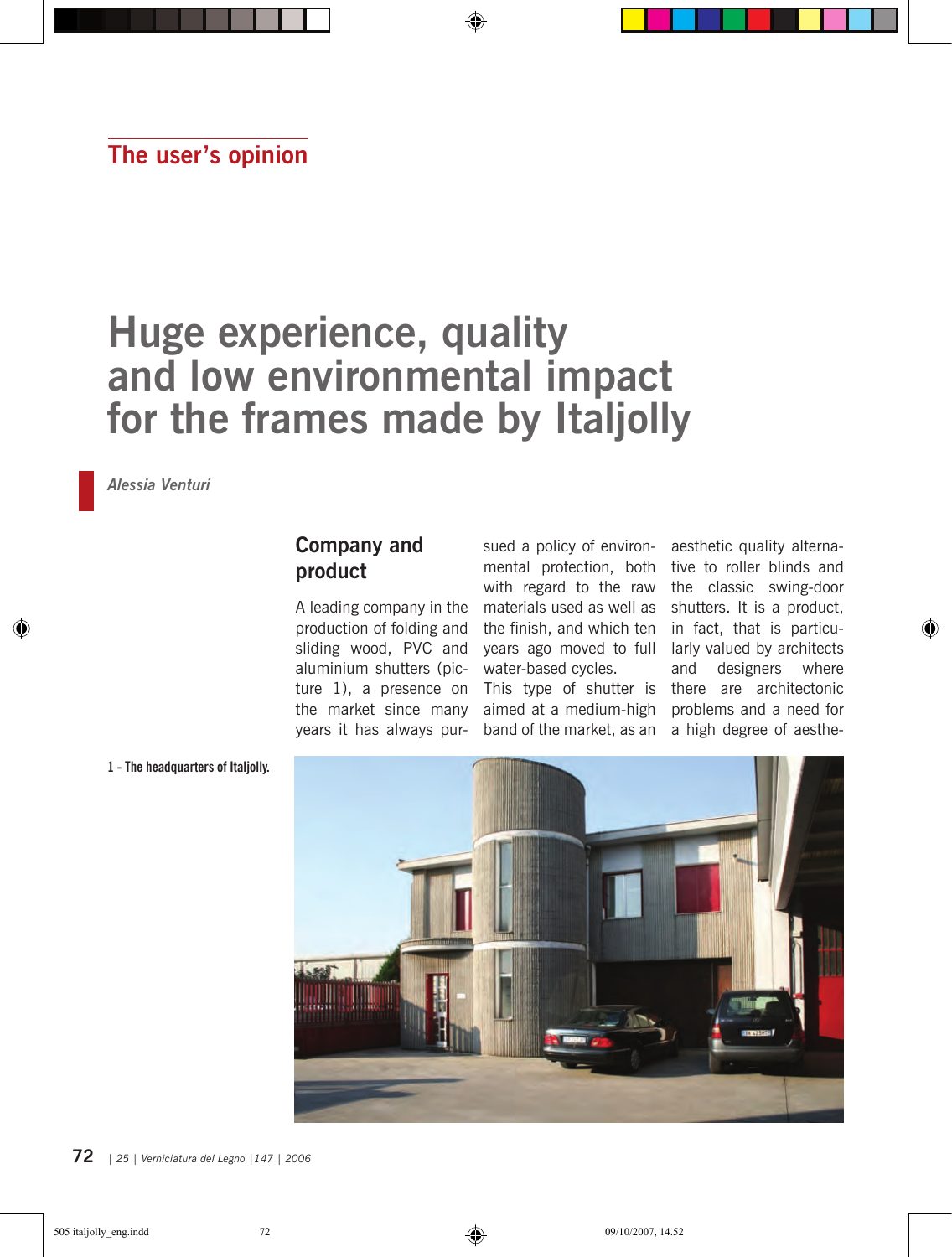## **The user's opinion**

# **Huge experience, quality and low environmental impact for the frames made by Italjolly**

*Alessia Venturi*

#### **Company and product**

A leading company in the production of folding and sliding wood, PVC and aluminium shutters (picture 1), a presence on the market since many years it has always pursued a policy of environmental protection, both tive to roller blinds and with regard to the raw the classic swing-door materials used as well as shutters. It is a product, the finish, and which ten years ago moved to full water-based cycles.

aimed at a medium-high band of the market, as an

This type of shutter is there are architectonic aesthetic quality alternain fact, that is particularly valued by architects and designers where problems and a need for a high degree of aesthe-

⊕



**1 - The headquarters of Italjolly.**

**72** *<sup>|</sup> 25 | Verniciatura del Legno |147 | 2006 25 | Verniciatura del Legno |147 | 2006 |* **73**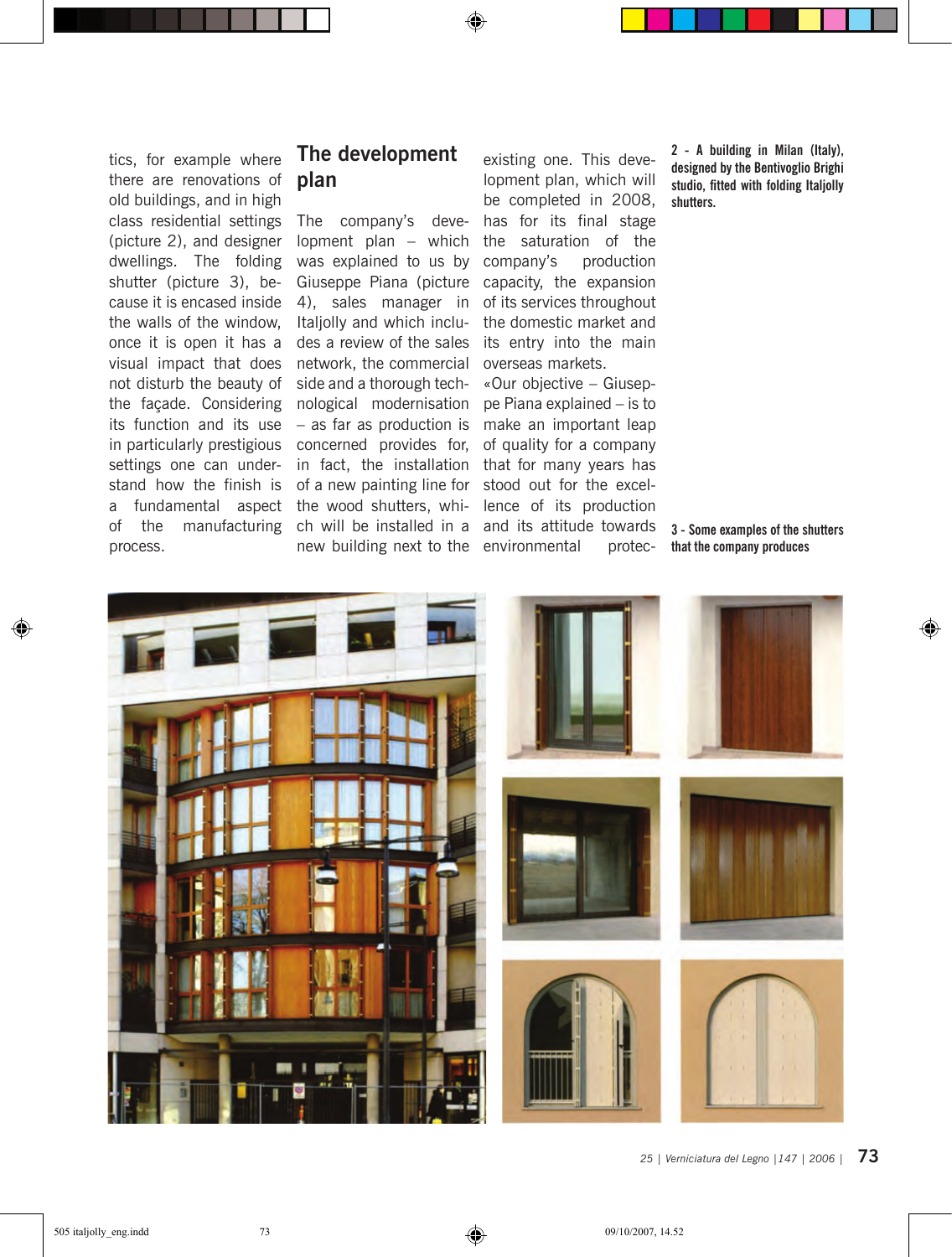tics, for example where there are renovations of old buildings, and in high class residential settings (picture 2), and designer dwellings. The folding shutter (picture 3), because it is encased inside the walls of the window, once it is open it has a visual impact that does not disturb the beauty of the façade. Considering its function and its use in particularly prestigious settings one can understand how the finish is a fundamental aspect of the manufacturing process.

#### **The development plan**

◈

The company's development plan – which was explained to us by Giuseppe Piana (picture 4), sales manager in Italjolly and which includes a review of the sales network, the commercial side and a thorough technological modernisation – as far as production is concerned provides for, in fact, the installation of a new painting line for the wood shutters, whinew building next to the environmental protec-

existing one. This development plan, which will be completed in 2008, has for its final stage the saturation of the company's production capacity, the expansion of its services throughout the domestic market and its entry into the main overseas markets.

ch will be installed in a and its attitude towards «Our objective – Giuseppe Piana explained – is to make an important leap of quality for a company that for many years has stood out for the excellence of its production

**2 - A building in Milan (Italy), designed by the Bentivoglio Brighi studio, fitted with folding Italjolly shutters.**

**3 - Some examples of the shutters that the company produces**

◈



**72** *<sup>|</sup> 25 | Verniciatura del Legno |147 | 2006 25 | Verniciatura del Legno |147 | 2006 |* **73**

⊕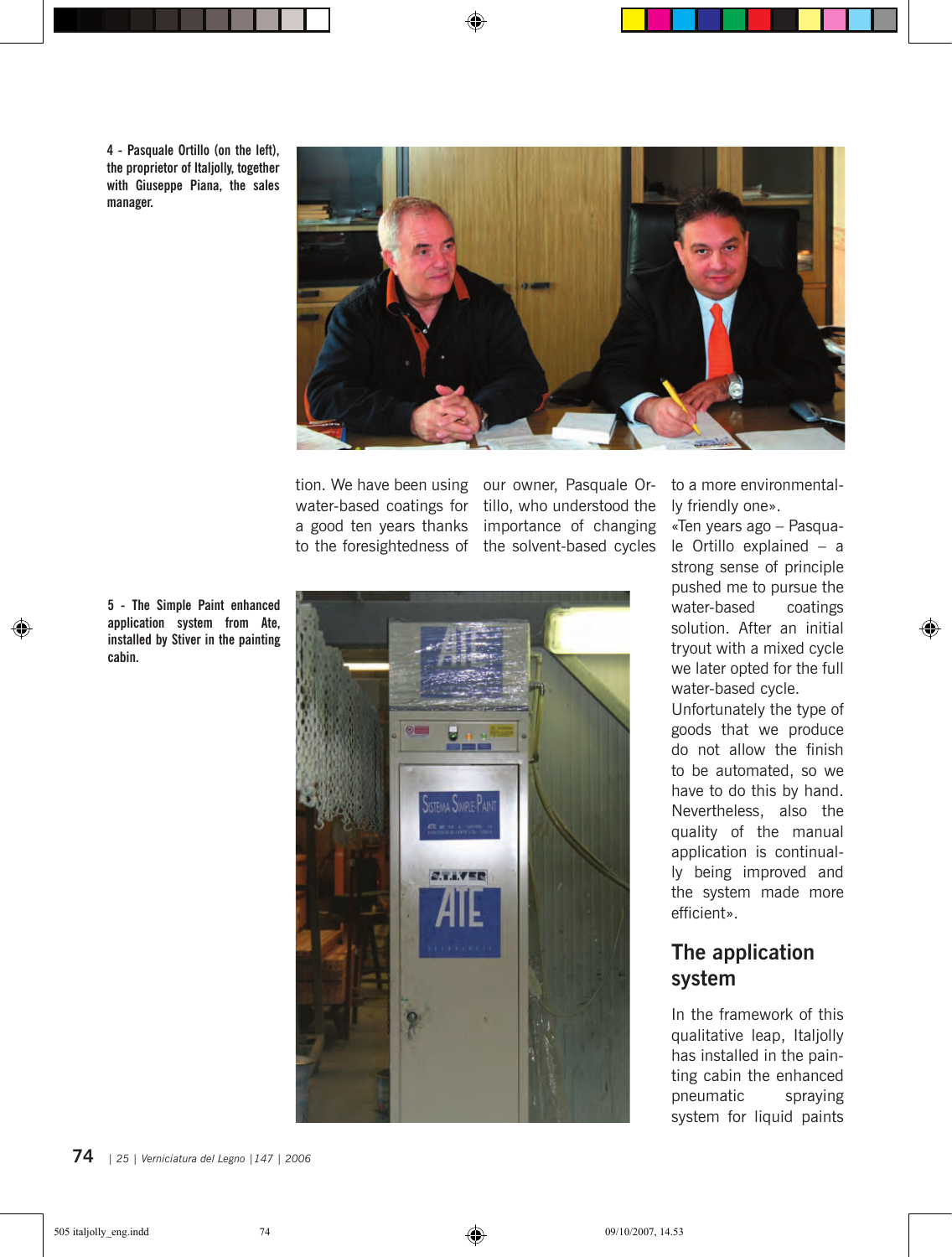**4 - Pasquale Ortillo (on the left), the proprietor of Italjolly, together with Giuseppe Piana, the sales manager.**



◈

tion. We have been using our owner, Pasquale Orwater-based coatings for a good ten years thanks to the foresightedness of the solvent-based cycles

tillo, who understood the importance of changing



to a more environmentally friendly one».

«Ten years ago – Pasquale Ortillo explained – a strong sense of principle pushed me to pursue the water-based coatings solution. After an initial tryout with a mixed cycle we later opted for the full water-based cycle.

⊕

Unfortunately the type of goods that we produce do not allow the finish to be automated, so we have to do this by hand. Nevertheless, also the quality of the manual application is continually being improved and the system made more efficient».

### **The application system**

In the framework of this qualitative leap, Italjolly has installed in the painting cabin the enhanced pneumatic spraying system for liquid paints

**5 - The Simple Paint enhanced application system from Ate, installed by Stiver in the painting cabin.**

◈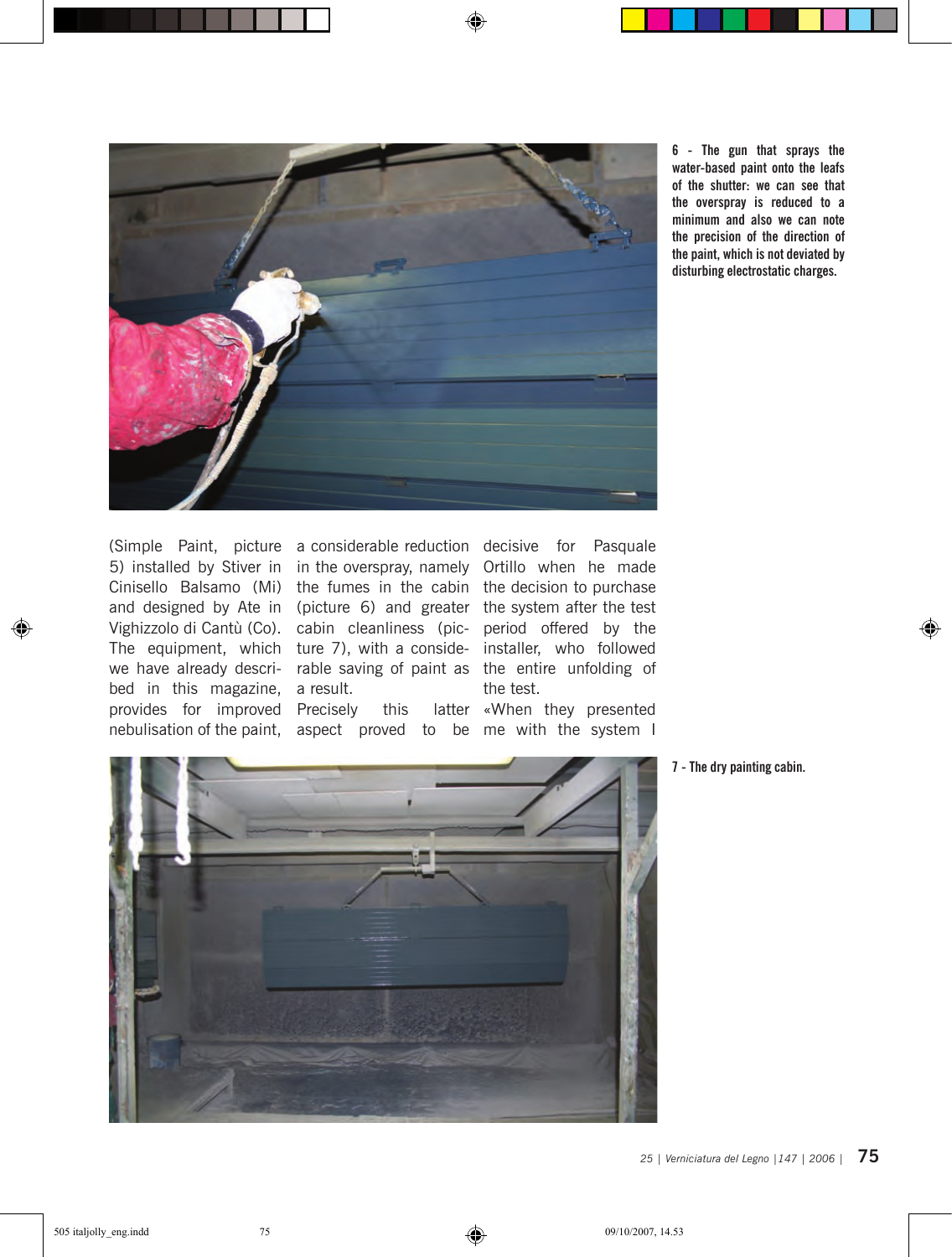

⊕

**6 - The gun that sprays the water-based paint onto the leafs of the shutter: we can see that the overspray is reduced to a minimum and also we can note the precision of the direction of the paint, which is not deviated by disturbing electrostatic charges.**

5) installed by Stiver in in the overspray, namely Ortillo when he made Cinisello Balsamo (Mi) the fumes in the cabin the decision to purchase and designed by Ate in (picture 6) and greater the system after the test Vighizzolo di Cantù (Co). cabin cleanliness (pic-period offered by the The equipment, which ture 7), with a conside- installer, who followed we have already descri- rable saving of paint as the entire unfolding of bed in this magazine, a result. provides for improved Precisely this latter nebulisation of the paint, aspect proved to be me with the system I

⊕

(Simple Paint, picture a considerable reduction decisive for Pasquale the test.

«When they presented



**7 - The dry painting cabin.**

◈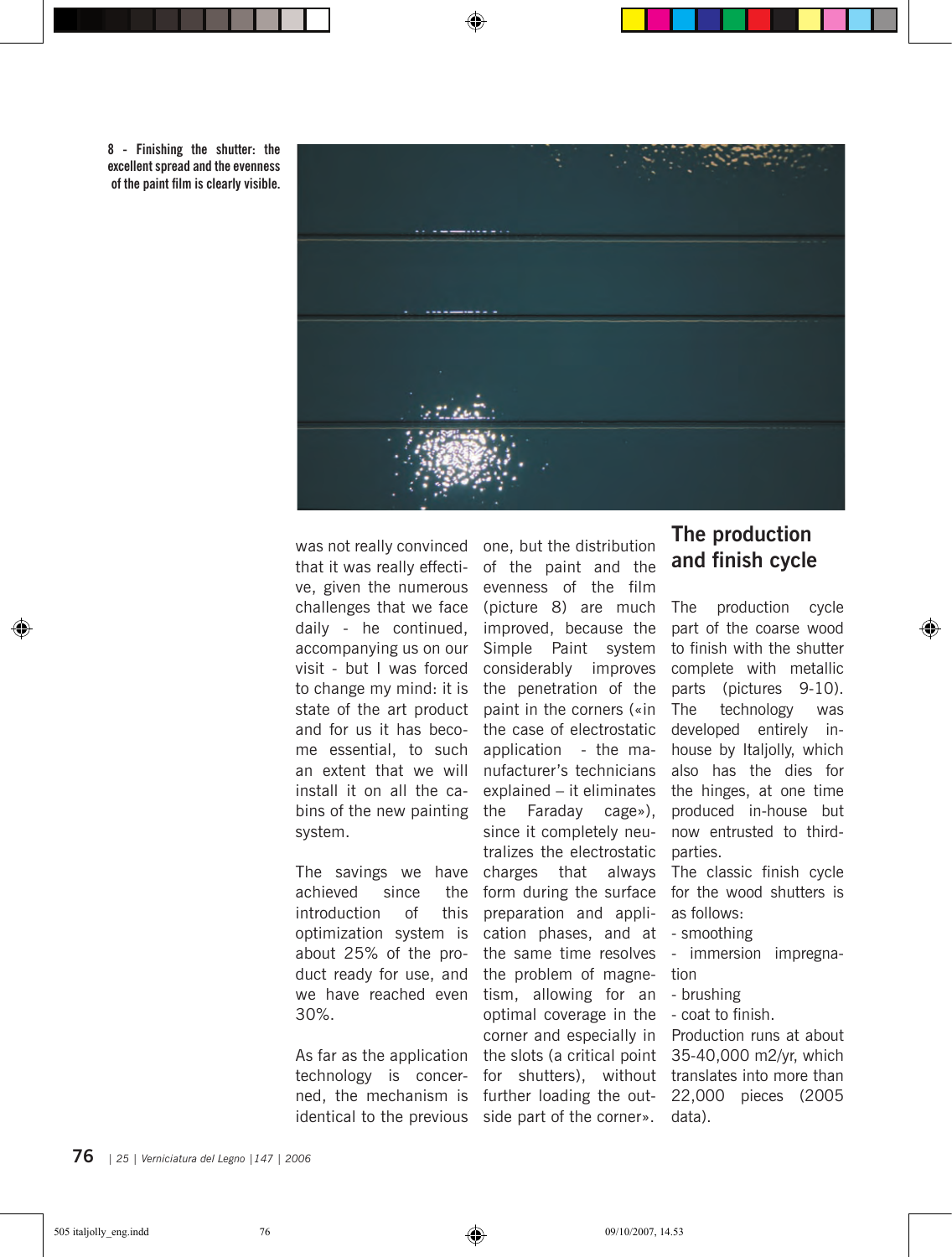

**8 - Finishing the shutter: the excellent spread and the evenness of the paint film is clearly visible.**

that it was really effective, given the numerous challenges that we face daily - he continued, accompanying us on our visit - but I was forced state of the art product and for us it has become essential, to such an extent that we will install it on all the cabins of the new painting system.

The savings we have achieved since the introduction of this optimization system is about 25% of the product ready for use, and we have reached even 30%.

As far as the application technology is concerned, the mechanism is identical to the previous side part of the corner». data).

was not really convinced one, but the distribution to change my mind: it is the penetration of the of the paint and the evenness of the film (picture 8) are much improved, because the Simple Paint system considerably improves paint in the corners («in the case of electrostatic application - the manufacturer's technicians explained – it eliminates Faraday cage»), since it completely neutralizes the electrostatic parties. charges that always The classic finish cycle form during the surface for the wood shutters is preparation and application phases, and at - smoothing the same time resolves - immersion impregnathe problem of magne-tion tism, allowing for an - brushing optimal coverage in the - coat to finish. corner and especially in Production runs at about the slots (a critical point 35-40,000 m2/yr, which for shutters), without translates into more than further loading the out-22,000 pieces (2005

#### **The production and finish cycle**

The production cycle part of the coarse wood to finish with the shutter complete with metallic parts (pictures 9-10). The technology was developed entirely inhouse by Italjolly, which also has the dies for the hinges, at one time produced in-house but now entrusted to third-

⊕

as follows:

- 
- 
- 
- 

**76** *<sup>|</sup> 25 | Verniciatura del Legno |147 | 2006 25 | Verniciatura del Legno |147 | 2006 |* **77**